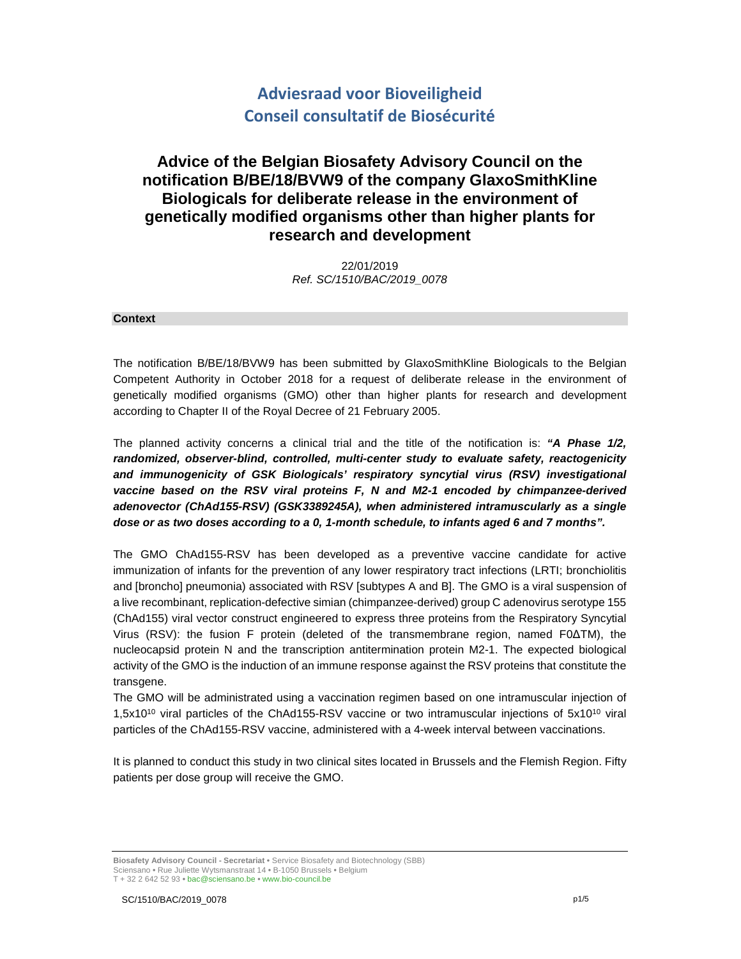# **Adviesraad voor Bioveiligheid Conseil consultatif de Biosécurité**

## **Advice of the Belgian Biosafety Advisory Council on the notification B/BE/18/BVW9 of the company GlaxoSmithKline Biologicals for deliberate release in the environment of genetically modified organisms other than higher plants for research and development**

22/01/2019 Ref. SC/1510/BAC/2019\_0078

#### **Context**

The notification B/BE/18/BVW9 has been submitted by GlaxoSmithKline Biologicals to the Belgian Competent Authority in October 2018 for a request of deliberate release in the environment of genetically modified organisms (GMO) other than higher plants for research and development according to Chapter II of the Royal Decree of 21 February 2005.

The planned activity concerns a clinical trial and the title of the notification is: **"A Phase 1/2, randomized, observer-blind, controlled, multi-center study to evaluate safety, reactogenicity and immunogenicity of GSK Biologicals' respiratory syncytial virus (RSV) investigational vaccine based on the RSV viral proteins F, N and M2-1 encoded by chimpanzee-derived adenovector (ChAd155-RSV) (GSK3389245A), when administered intramuscularly as a single dose or as two doses according to a 0, 1-month schedule, to infants aged 6 and 7 months".**

The GMO ChAd155-RSV has been developed as a preventive vaccine candidate for active immunization of infants for the prevention of any lower respiratory tract infections (LRTI; bronchiolitis and [broncho] pneumonia) associated with RSV [subtypes A and B]. The GMO is a viral suspension of a live recombinant, replication-defective simian (chimpanzee-derived) group C adenovirus serotype 155 (ChAd155) viral vector construct engineered to express three proteins from the Respiratory Syncytial Virus (RSV): the fusion F protein (deleted of the transmembrane region, named F0∆TM), the nucleocapsid protein N and the transcription antitermination protein M2-1. The expected biological activity of the GMO is the induction of an immune response against the RSV proteins that constitute the transgene.

The GMO will be administrated using a vaccination regimen based on one intramuscular injection of 1,5x10<sup>10</sup> viral particles of the ChAd155-RSV vaccine or two intramuscular injections of 5x10<sup>10</sup> viral particles of the ChAd155-RSV vaccine, administered with a 4-week interval between vaccinations.

It is planned to conduct this study in two clinical sites located in Brussels and the Flemish Region. Fifty patients per dose group will receive the GMO.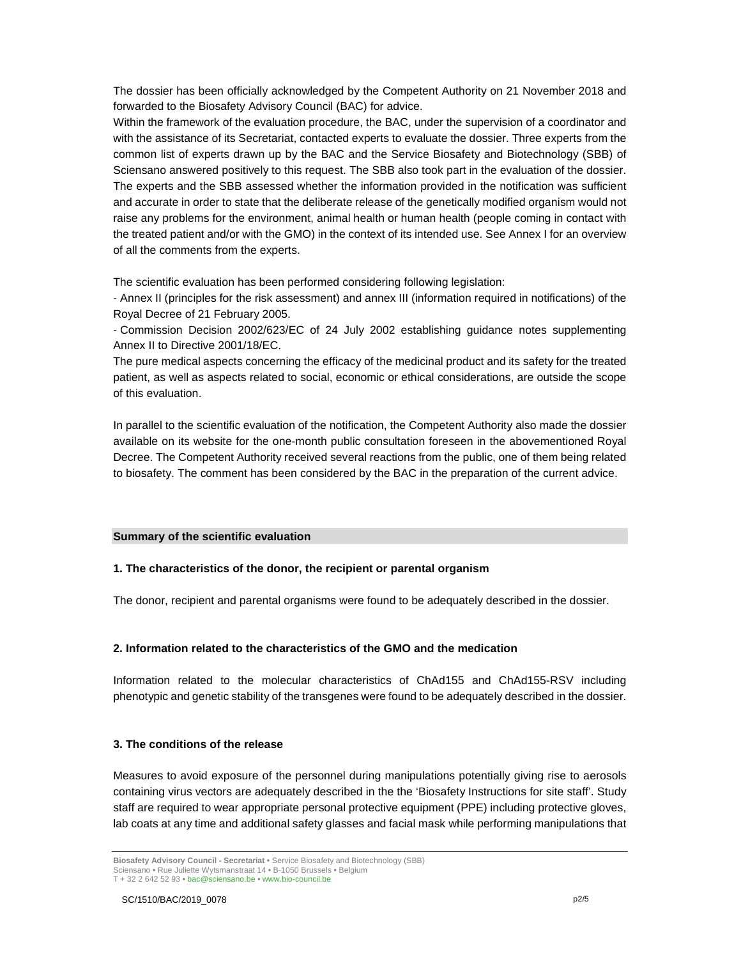The dossier has been officially acknowledged by the Competent Authority on 21 November 2018 and forwarded to the Biosafety Advisory Council (BAC) for advice.

Within the framework of the evaluation procedure, the BAC, under the supervision of a coordinator and with the assistance of its Secretariat, contacted experts to evaluate the dossier. Three experts from the common list of experts drawn up by the BAC and the Service Biosafety and Biotechnology (SBB) of Sciensano answered positively to this request. The SBB also took part in the evaluation of the dossier. The experts and the SBB assessed whether the information provided in the notification was sufficient and accurate in order to state that the deliberate release of the genetically modified organism would not raise any problems for the environment, animal health or human health (people coming in contact with the treated patient and/or with the GMO) in the context of its intended use. See Annex I for an overview of all the comments from the experts.

The scientific evaluation has been performed considering following legislation:

- Annex II (principles for the risk assessment) and annex III (information required in notifications) of the Royal Decree of 21 February 2005.

- Commission Decision 2002/623/EC of 24 July 2002 establishing guidance notes supplementing Annex II to Directive 2001/18/EC.

The pure medical aspects concerning the efficacy of the medicinal product and its safety for the treated patient, as well as aspects related to social, economic or ethical considerations, are outside the scope of this evaluation.

In parallel to the scientific evaluation of the notification, the Competent Authority also made the dossier available on its website for the one-month public consultation foreseen in the abovementioned Royal Decree. The Competent Authority received several reactions from the public, one of them being related to biosafety. The comment has been considered by the BAC in the preparation of the current advice.

#### **Summary of the scientific evaluation**

#### **1. The characteristics of the donor, the recipient or parental organism**

The donor, recipient and parental organisms were found to be adequately described in the dossier.

## **2. Information related to the characteristics of the GMO and the medication**

Information related to the molecular characteristics of ChAd155 and ChAd155-RSV including phenotypic and genetic stability of the transgenes were found to be adequately described in the dossier.

#### **3. The conditions of the release**

Measures to avoid exposure of the personnel during manipulations potentially giving rise to aerosols containing virus vectors are adequately described in the the 'Biosafety Instructions for site staff'. Study staff are required to wear appropriate personal protective equipment (PPE) including protective gloves, lab coats at any time and additional safety glasses and facial mask while performing manipulations that

**Biosafety Advisory Council - Secretariat •** Service Biosafety and Biotechnology (SBB) Sciensano **•** Rue Juliette Wytsmanstraat 14 **•** B-1050 Brussels **•** Belgium T + 32 2 642 52 93 **•** bac@sciensano.be **•** www.bio-council.be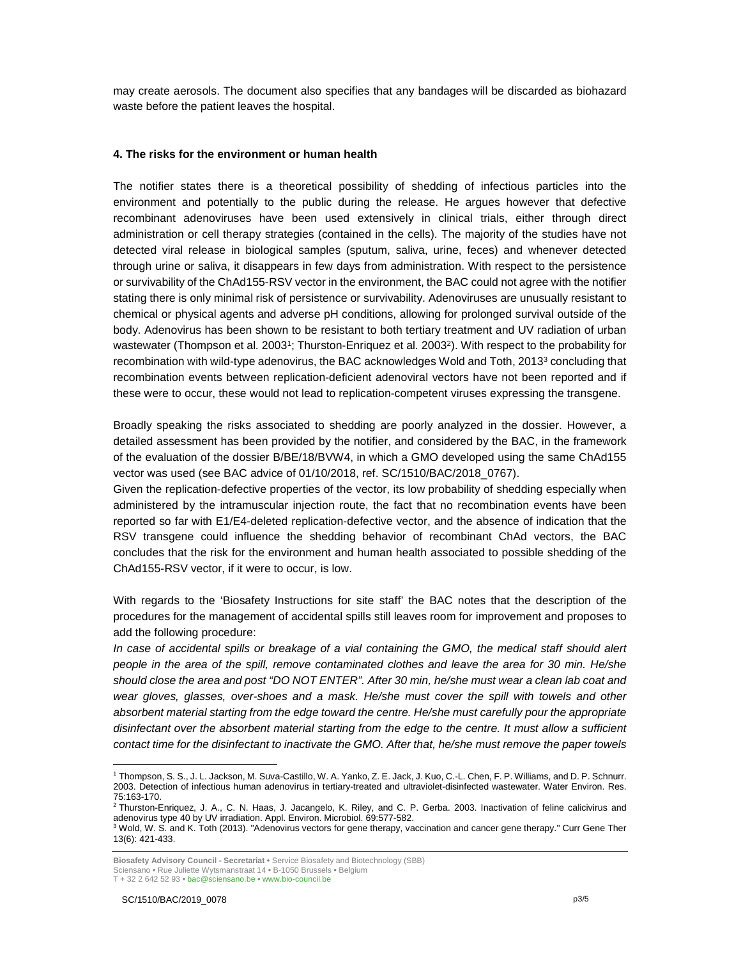may create aerosols. The document also specifies that any bandages will be discarded as biohazard waste before the patient leaves the hospital.

#### **4. The risks for the environment or human health**

The notifier states there is a theoretical possibility of shedding of infectious particles into the environment and potentially to the public during the release. He argues however that defective recombinant adenoviruses have been used extensively in clinical trials, either through direct administration or cell therapy strategies (contained in the cells). The majority of the studies have not detected viral release in biological samples (sputum, saliva, urine, feces) and whenever detected through urine or saliva, it disappears in few days from administration. With respect to the persistence or survivability of the ChAd155-RSV vector in the environment, the BAC could not agree with the notifier stating there is only minimal risk of persistence or survivability. Adenoviruses are unusually resistant to chemical or physical agents and adverse pH conditions, allowing for prolonged survival outside of the body. Adenovirus has been shown to be resistant to both tertiary treatment and UV radiation of urban wastewater (Thompson et al. 2003<sup>1</sup>; Thurston-Enriquez et al. 2003<sup>2</sup>). With respect to the probability for recombination with wild-type adenovirus, the BAC acknowledges Wold and Toth, 2013<sup>3</sup> concluding that recombination events between replication-deficient adenoviral vectors have not been reported and if these were to occur, these would not lead to replication-competent viruses expressing the transgene.

Broadly speaking the risks associated to shedding are poorly analyzed in the dossier. However, a detailed assessment has been provided by the notifier, and considered by the BAC, in the framework of the evaluation of the dossier B/BE/18/BVW4, in which a GMO developed using the same ChAd155 vector was used (see BAC advice of 01/10/2018, ref. SC/1510/BAC/2018\_0767).

Given the replication-defective properties of the vector, its low probability of shedding especially when administered by the intramuscular injection route, the fact that no recombination events have been reported so far with E1/E4-deleted replication-defective vector, and the absence of indication that the RSV transgene could influence the shedding behavior of recombinant ChAd vectors, the BAC concludes that the risk for the environment and human health associated to possible shedding of the ChAd155-RSV vector, if it were to occur, is low.

With regards to the 'Biosafety Instructions for site staff' the BAC notes that the description of the procedures for the management of accidental spills still leaves room for improvement and proposes to add the following procedure:

In case of accidental spills or breakage of a vial containing the GMO, the medical staff should alert people in the area of the spill, remove contaminated clothes and leave the area for 30 min. He/she should close the area and post "DO NOT ENTER". After 30 min, he/she must wear a clean lab coat and wear gloves, glasses, over-shoes and a mask. He/she must cover the spill with towels and other absorbent material starting from the edge toward the centre. He/she must carefully pour the appropriate disinfectant over the absorbent material starting from the edge to the centre. It must allow a sufficient contact time for the disinfectant to inactivate the GMO. After that, he/she must remove the paper towels

T + 32 2 642 52 93 **•** bac@sciensano.be **•** www.bio-council.be

-

<sup>1</sup> Thompson, S. S., J. L. Jackson, M. Suva-Castillo, W. A. Yanko, Z. E. Jack, J. Kuo, C.-L. Chen, F. P. Williams, and D. P. Schnurr. 2003. Detection of infectious human adenovirus in tertiary-treated and ultraviolet-disinfected wastewater. Water Environ. Res. 75:163-170.

<sup>&</sup>lt;sup>2</sup> Thurston-Enriquez, J. A., C. N. Haas, J. Jacangelo, K. Riley, and C. P. Gerba. 2003. Inactivation of feline calicivirus and adenovirus type 40 by UV irradiation. Appl. Environ. Microbiol. 69:577-582.

<sup>&</sup>lt;sup>3</sup> Wold, W. S. and K. Toth (2013). "Adenovirus vectors for gene therapy, vaccination and cancer gene therapy." Curr Gene Ther 13(6): 421-433.

**Biosafety Advisory Council - Secretariat •** Service Biosafety and Biotechnology (SBB) Sciensano **•** Rue Juliette Wytsmanstraat 14 **•** B-1050 Brussels **•** Belgium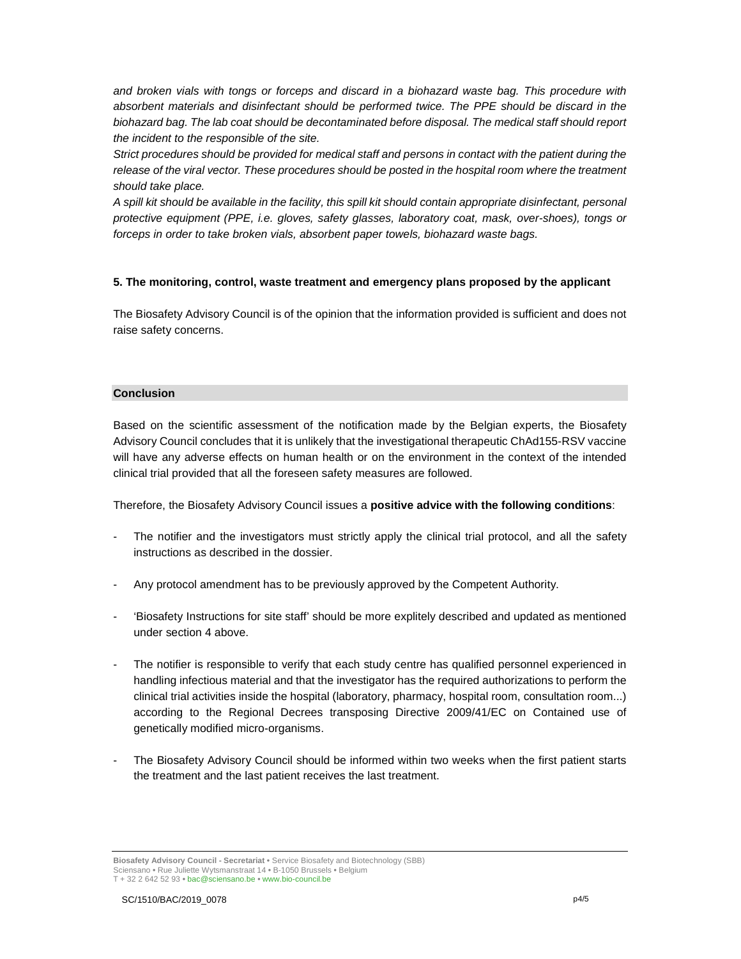and broken vials with tongs or forceps and discard in a biohazard waste bag. This procedure with absorbent materials and disinfectant should be performed twice. The PPE should be discard in the biohazard bag. The lab coat should be decontaminated before disposal. The medical staff should report the incident to the responsible of the site.

Strict procedures should be provided for medical staff and persons in contact with the patient during the release of the viral vector. These procedures should be posted in the hospital room where the treatment should take place.

A spill kit should be available in the facility, this spill kit should contain appropriate disinfectant, personal protective equipment (PPE, i.e. gloves, safety glasses, laboratory coat, mask, over-shoes), tongs or forceps in order to take broken vials, absorbent paper towels, biohazard waste bags.

#### **5. The monitoring, control, waste treatment and emergency plans proposed by the applicant**

The Biosafety Advisory Council is of the opinion that the information provided is sufficient and does not raise safety concerns.

#### **Conclusion**

Based on the scientific assessment of the notification made by the Belgian experts, the Biosafety Advisory Council concludes that it is unlikely that the investigational therapeutic ChAd155-RSV vaccine will have any adverse effects on human health or on the environment in the context of the intended clinical trial provided that all the foreseen safety measures are followed.

Therefore, the Biosafety Advisory Council issues a **positive advice with the following conditions**:

- The notifier and the investigators must strictly apply the clinical trial protocol, and all the safety instructions as described in the dossier.
- Any protocol amendment has to be previously approved by the Competent Authority.
- 'Biosafety Instructions for site staff' should be more explitely described and updated as mentioned under section 4 above.
- The notifier is responsible to verify that each study centre has qualified personnel experienced in handling infectious material and that the investigator has the required authorizations to perform the clinical trial activities inside the hospital (laboratory, pharmacy, hospital room, consultation room...) according to the Regional Decrees transposing Directive 2009/41/EC on Contained use of genetically modified micro-organisms.
- The Biosafety Advisory Council should be informed within two weeks when the first patient starts the treatment and the last patient receives the last treatment.

**Biosafety Advisory Council - Secretariat •** Service Biosafety and Biotechnology (SBB) Sciensano **•** Rue Juliette Wytsmanstraat 14 **•** B-1050 Brussels **•** Belgium T + 32 2 642 52 93 **•** bac@sciensano.be **•** www.bio-council.be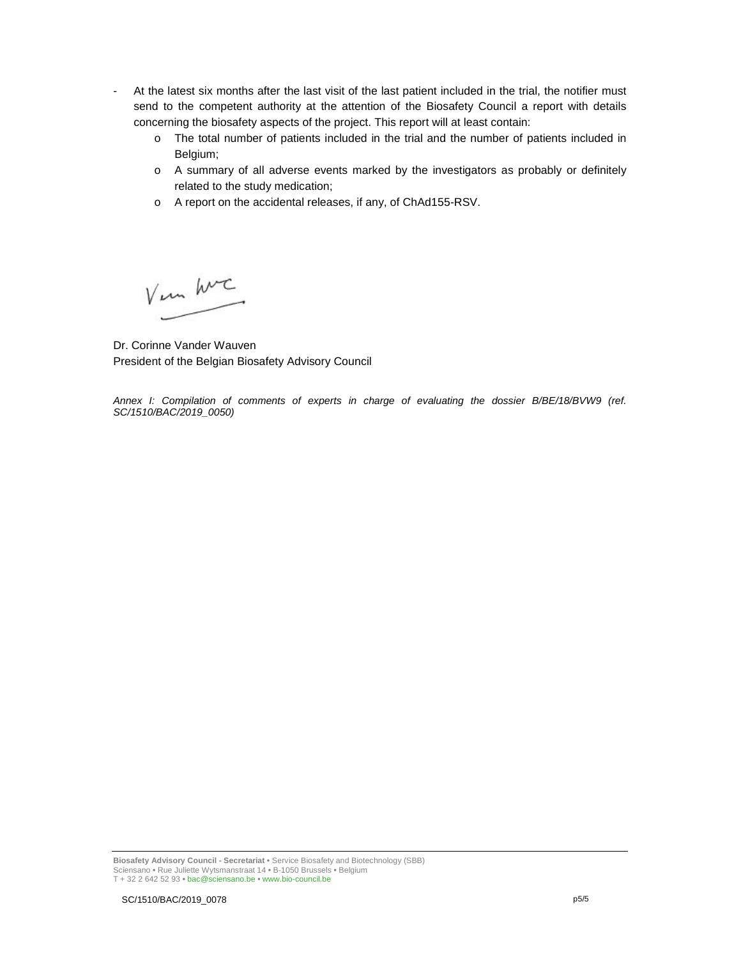- At the latest six months after the last visit of the last patient included in the trial, the notifier must send to the competent authority at the attention of the Biosafety Council a report with details concerning the biosafety aspects of the project. This report will at least contain:
	- o The total number of patients included in the trial and the number of patients included in Belgium;
	- o A summary of all adverse events marked by the investigators as probably or definitely related to the study medication;
	- o A report on the accidental releases, if any, of ChAd155-RSV.

Vem hurc

Dr. Corinne Vander Wauven President of the Belgian Biosafety Advisory Council

Annex I: Compilation of comments of experts in charge of evaluating the dossier B/BE/18/BVW9 (ref. SC/1510/BAC/2019\_0050)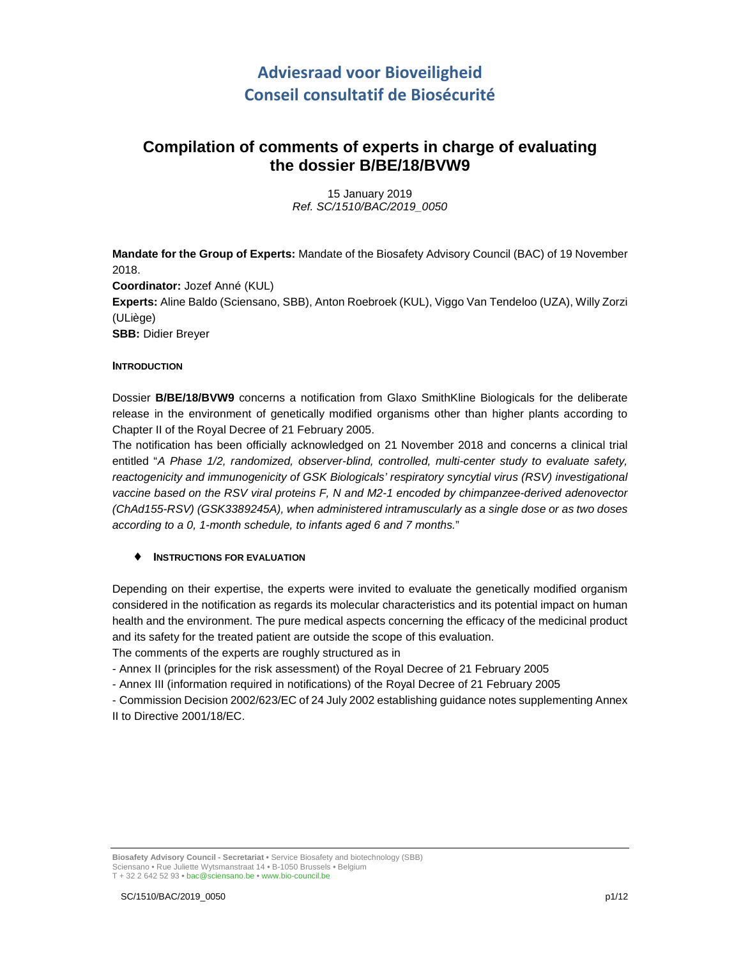# **Adviesraad voor Bioveiligheid Conseil consultatif de Biosécurité**

## **Compilation of comments of experts in charge of evaluating the dossier B/BE/18/BVW9**

15 January 2019 Ref. SC/1510/BAC/2019\_0050

**Mandate for the Group of Experts:** Mandate of the Biosafety Advisory Council (BAC) of 19 November 2018. **Coordinator:** Jozef Anné (KUL) **Experts:** Aline Baldo (Sciensano, SBB), Anton Roebroek (KUL), Viggo Van Tendeloo (UZA), Willy Zorzi (ULiège) **SBB:** Didier Breyer

#### **INTRODUCTION**

Dossier **B/BE/18/BVW9** concerns a notification from Glaxo SmithKline Biologicals for the deliberate release in the environment of genetically modified organisms other than higher plants according to Chapter II of the Royal Decree of 21 February 2005.

The notification has been officially acknowledged on 21 November 2018 and concerns a clinical trial entitled "A Phase 1/2, randomized, observer-blind, controlled, multi-center study to evaluate safety, reactogenicity and immunogenicity of GSK Biologicals' respiratory syncytial virus (RSV) investigational vaccine based on the RSV viral proteins F, N and M2-1 encoded by chimpanzee-derived adenovector (ChAd155-RSV) (GSK3389245A), when administered intramuscularly as a single dose or as two doses according to a 0, 1-month schedule, to infants aged 6 and 7 months."

## ♦ **INSTRUCTIONS FOR EVALUATION**

Depending on their expertise, the experts were invited to evaluate the genetically modified organism considered in the notification as regards its molecular characteristics and its potential impact on human health and the environment. The pure medical aspects concerning the efficacy of the medicinal product and its safety for the treated patient are outside the scope of this evaluation.

The comments of the experts are roughly structured as in

- Annex II (principles for the risk assessment) of the Royal Decree of 21 February 2005

- Annex III (information required in notifications) of the Royal Decree of 21 February 2005

- Commission Decision 2002/623/EC of 24 July 2002 establishing guidance notes supplementing Annex II to Directive 2001/18/EC.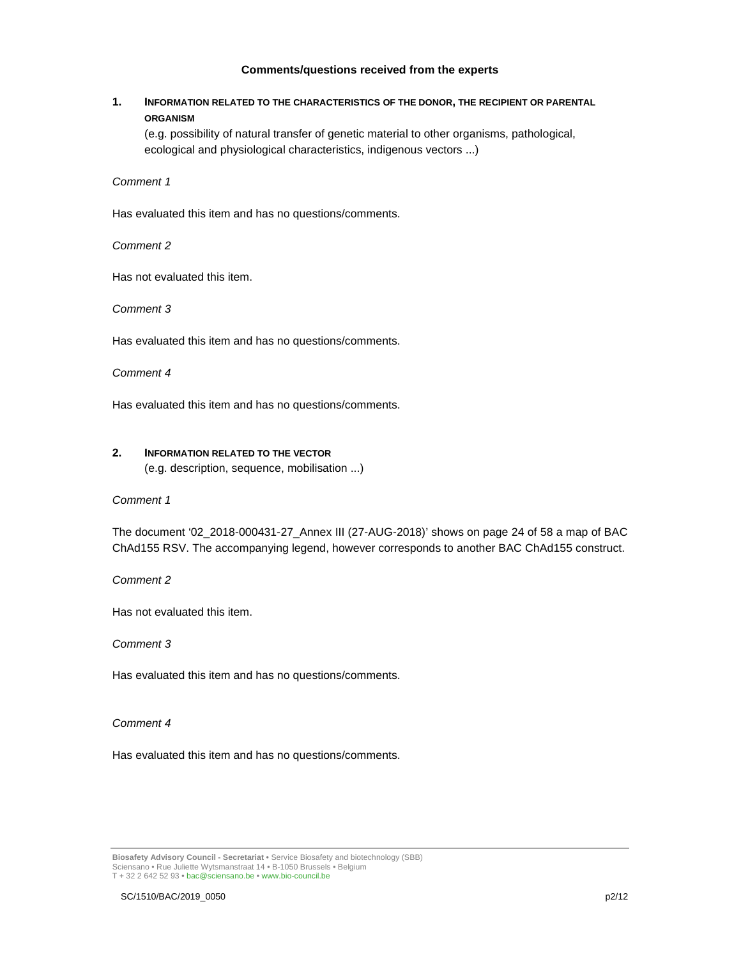#### **Comments/questions received from the experts**

## **1. INFORMATION RELATED TO THE CHARACTERISTICS OF THE DONOR, THE RECIPIENT OR PARENTAL ORGANISM**

(e.g. possibility of natural transfer of genetic material to other organisms, pathological, ecological and physiological characteristics, indigenous vectors ...)

Comment 1

Has evaluated this item and has no questions/comments.

Comment 2

Has not evaluated this item.

Comment 3

Has evaluated this item and has no questions/comments.

Comment 4

Has evaluated this item and has no questions/comments.

## **2. INFORMATION RELATED TO THE VECTOR**

(e.g. description, sequence, mobilisation ...)

## Comment 1

The document '02\_2018-000431-27\_Annex III (27-AUG-2018)' shows on page 24 of 58 a map of BAC ChAd155 RSV. The accompanying legend, however corresponds to another BAC ChAd155 construct.

Comment 2

Has not evaluated this item.

Comment 3

Has evaluated this item and has no questions/comments.

Comment 4

Has evaluated this item and has no questions/comments.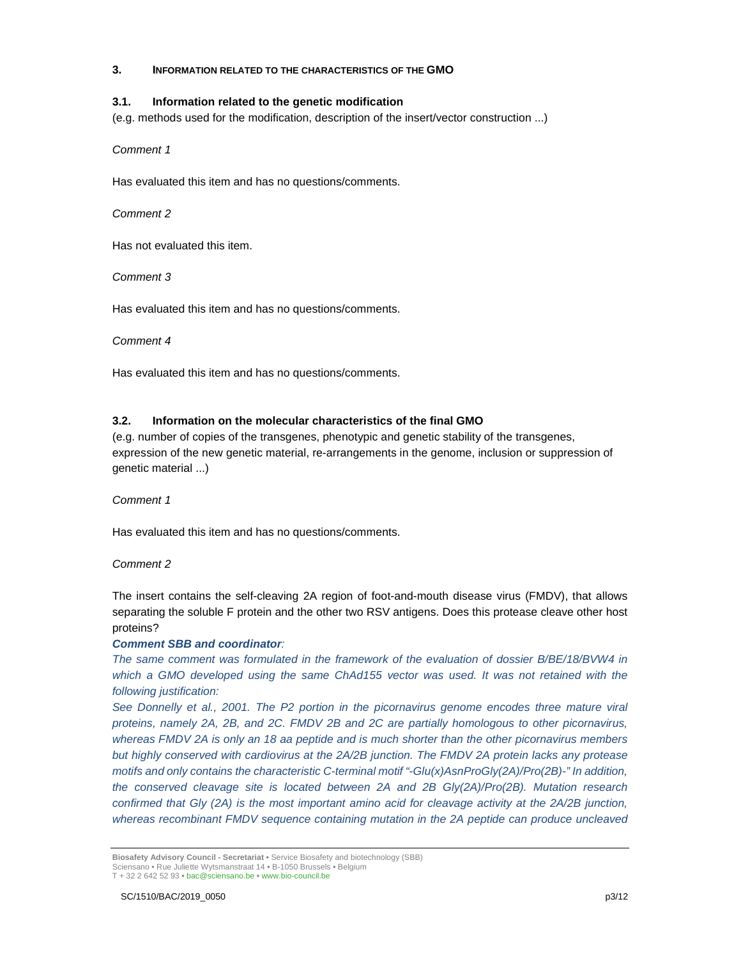#### **3. INFORMATION RELATED TO THE CHARACTERISTICS OF THE GMO**

#### **3.1. Information related to the genetic modification**

(e.g. methods used for the modification, description of the insert/vector construction ...)

Comment 1

Has evaluated this item and has no questions/comments.

Comment 2

Has not evaluated this item.

Comment 3

Has evaluated this item and has no questions/comments.

Comment 4

Has evaluated this item and has no questions/comments.

#### **3.2. Information on the molecular characteristics of the final GMO**

(e.g. number of copies of the transgenes, phenotypic and genetic stability of the transgenes, expression of the new genetic material, re-arrangements in the genome, inclusion or suppression of genetic material ...)

Comment 1

Has evaluated this item and has no questions/comments.

Comment 2

The insert contains the self-cleaving 2A region of foot-and-mouth disease virus (FMDV), that allows separating the soluble F protein and the other two RSV antigens. Does this protease cleave other host proteins?

## **Comment SBB and coordinator**:

The same comment was formulated in the framework of the evaluation of dossier B/BE/18/BVW4 in which a GMO developed using the same ChAd155 vector was used. It was not retained with the following justification:

See Donnelly et al., 2001. The P2 portion in the picornavirus genome encodes three mature viral proteins, namely 2A, 2B, and 2C. FMDV 2B and 2C are partially homologous to other picornavirus, whereas FMDV 2A is only an 18 aa peptide and is much shorter than the other picornavirus members but highly conserved with cardiovirus at the 2A/2B junction. The FMDV 2A protein lacks any protease motifs and only contains the characteristic C-terminal motif "-Glu(x)AsnProGly(2A)/Pro(2B)-" In addition, the conserved cleavage site is located between 2A and 2B Gly(2A)/Pro(2B). Mutation research confirmed that Gly (2A) is the most important amino acid for cleavage activity at the 2A/2B junction, whereas recombinant FMDV sequence containing mutation in the 2A peptide can produce uncleaved

**Biosafety Advisory Council - Secretariat •** Service Biosafety and biotechnology (SBB) Sciensano • Rue Juliette Wytsmanstraat 14 **•** B-1050 Brussels **•** Belgium T + 32 2 642 52 93 **•** bac@sciensano.be **•** www.bio-council.be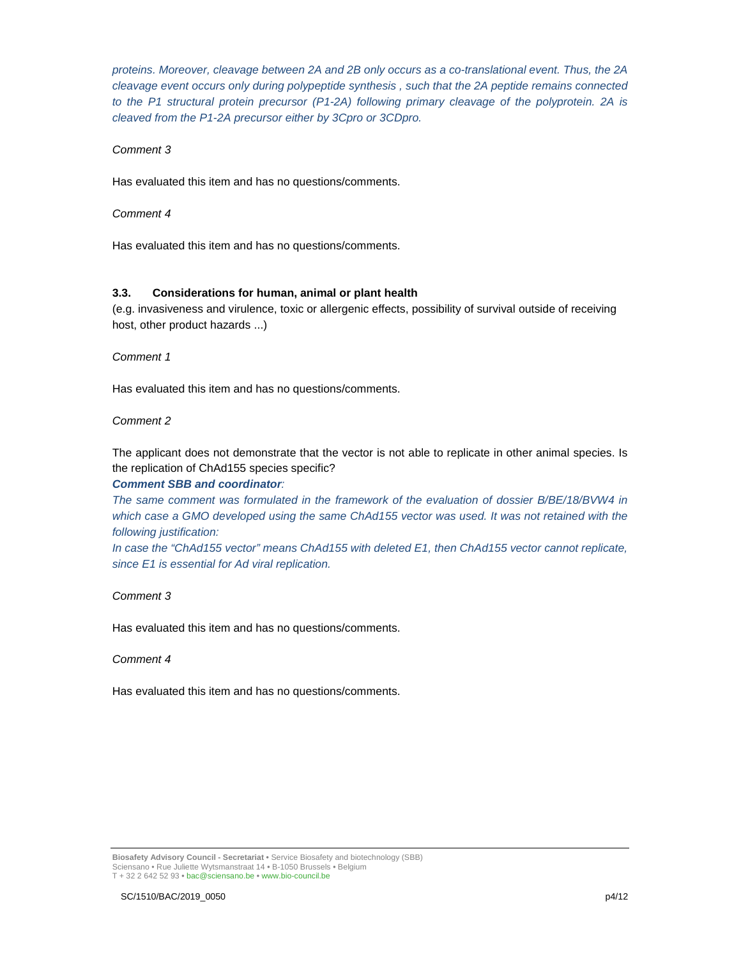proteins. Moreover, cleavage between 2A and 2B only occurs as a co-translational event. Thus, the 2A cleavage event occurs only during polypeptide synthesis , such that the 2A peptide remains connected to the P1 structural protein precursor (P1-2A) following primary cleavage of the polyprotein. 2A is cleaved from the P1-2A precursor either by 3Cpro or 3CDpro.

#### Comment 3

Has evaluated this item and has no questions/comments.

#### Comment 4

Has evaluated this item and has no questions/comments.

## **3.3. Considerations for human, animal or plant health**

(e.g. invasiveness and virulence, toxic or allergenic effects, possibility of survival outside of receiving host, other product hazards ...)

#### Comment 1

Has evaluated this item and has no questions/comments.

#### Comment 2

The applicant does not demonstrate that the vector is not able to replicate in other animal species. Is the replication of ChAd155 species specific?

#### **Comment SBB and coordinator**:

The same comment was formulated in the framework of the evaluation of dossier B/BE/18/BVW4 in which case a GMO developed using the same ChAd155 vector was used. It was not retained with the following justification:

In case the "ChAd155 vector" means ChAd155 with deleted E1, then ChAd155 vector cannot replicate, since E1 is essential for Ad viral replication.

#### Comment 3

Has evaluated this item and has no questions/comments.

#### Comment 4

Has evaluated this item and has no questions/comments.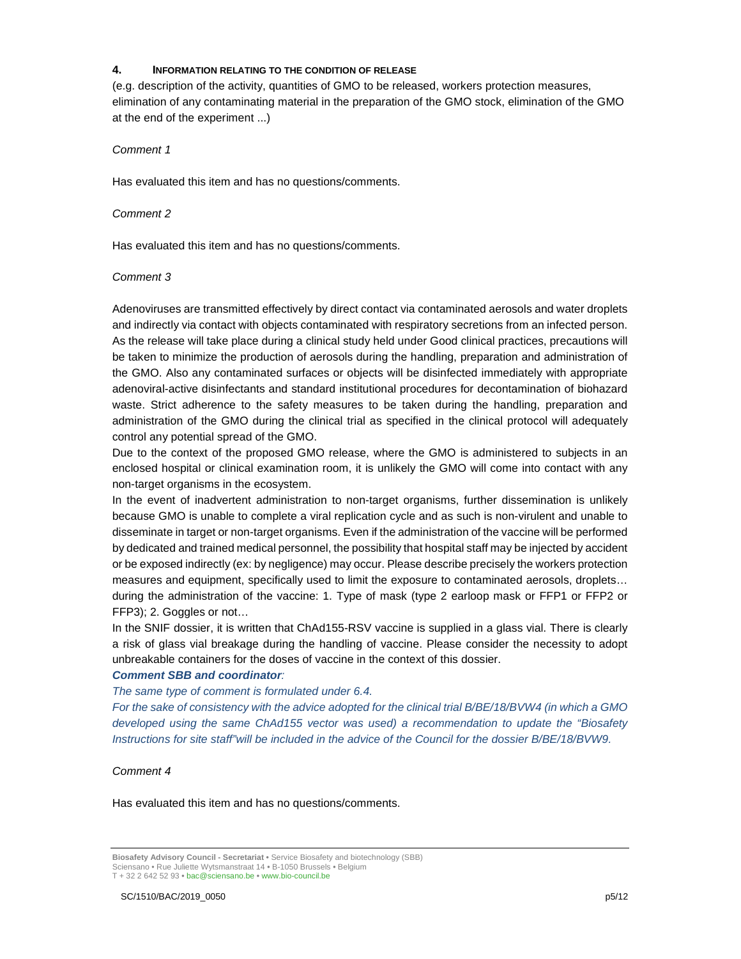#### **4. INFORMATION RELATING TO THE CONDITION OF RELEASE**

(e.g. description of the activity, quantities of GMO to be released, workers protection measures, elimination of any contaminating material in the preparation of the GMO stock, elimination of the GMO at the end of the experiment ...)

#### Comment 1

Has evaluated this item and has no questions/comments.

#### Comment 2

Has evaluated this item and has no questions/comments.

#### Comment 3

Adenoviruses are transmitted effectively by direct contact via contaminated aerosols and water droplets and indirectly via contact with objects contaminated with respiratory secretions from an infected person. As the release will take place during a clinical study held under Good clinical practices, precautions will be taken to minimize the production of aerosols during the handling, preparation and administration of the GMO. Also any contaminated surfaces or objects will be disinfected immediately with appropriate adenoviral-active disinfectants and standard institutional procedures for decontamination of biohazard waste. Strict adherence to the safety measures to be taken during the handling, preparation and administration of the GMO during the clinical trial as specified in the clinical protocol will adequately control any potential spread of the GMO.

Due to the context of the proposed GMO release, where the GMO is administered to subjects in an enclosed hospital or clinical examination room, it is unlikely the GMO will come into contact with any non-target organisms in the ecosystem.

In the event of inadvertent administration to non-target organisms, further dissemination is unlikely because GMO is unable to complete a viral replication cycle and as such is non-virulent and unable to disseminate in target or non-target organisms. Even if the administration of the vaccine will be performed by dedicated and trained medical personnel, the possibility that hospital staff may be injected by accident or be exposed indirectly (ex: by negligence) may occur. Please describe precisely the workers protection measures and equipment, specifically used to limit the exposure to contaminated aerosols, droplets… during the administration of the vaccine: 1. Type of mask (type 2 earloop mask or FFP1 or FFP2 or FFP3); 2. Goggles or not…

In the SNIF dossier, it is written that ChAd155-RSV vaccine is supplied in a glass vial. There is clearly a risk of glass vial breakage during the handling of vaccine. Please consider the necessity to adopt unbreakable containers for the doses of vaccine in the context of this dossier.

#### **Comment SBB and coordinator**:

The same type of comment is formulated under 6.4.

For the sake of consistency with the advice adopted for the clinical trial B/BE/18/BVW4 (in which a GMO developed using the same ChAd155 vector was used) a recommendation to update the "Biosafety Instructions for site staff"will be included in the advice of the Council for the dossier B/BE/18/BVW9.

#### Comment 4

**Biosafety Advisory Council - Secretariat •** Service Biosafety and biotechnology (SBB) Sciensano • Rue Juliette Wytsmanstraat 14 **•** B-1050 Brussels **•** Belgium T + 32 2 642 52 93 **•** bac@sciensano.be **•** www.bio-council.be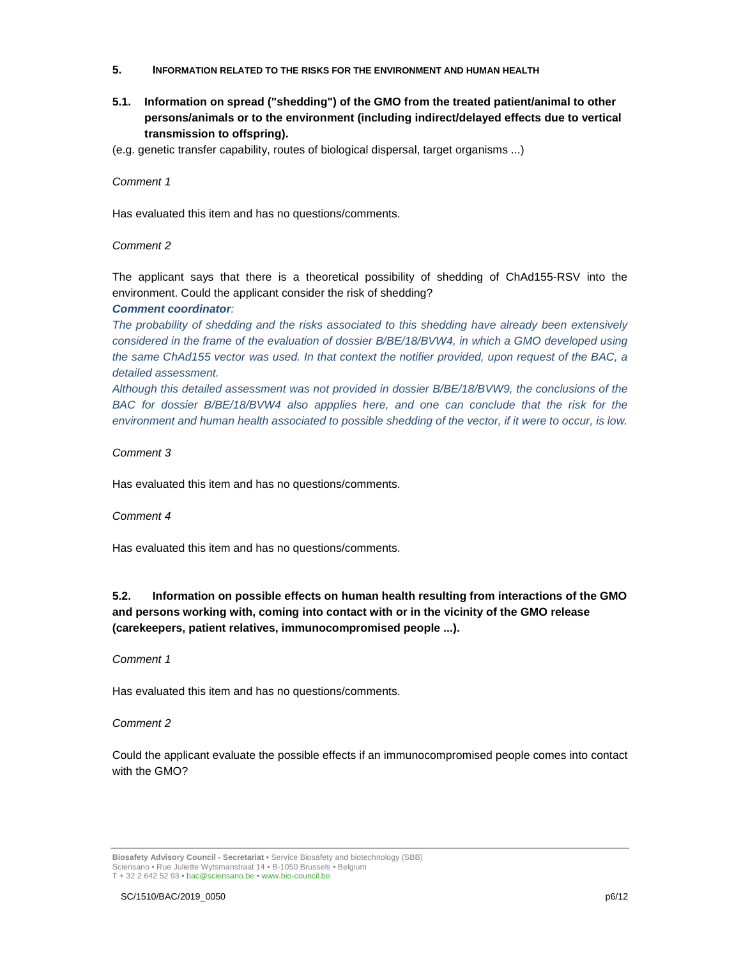- **5. INFORMATION RELATED TO THE RISKS FOR THE ENVIRONMENT AND HUMAN HEALTH**
- **5.1. Information on spread ("shedding") of the GMO from the treated patient/animal to other persons/animals or to the environment (including indirect/delayed effects due to vertical transmission to offspring).**
- (e.g. genetic transfer capability, routes of biological dispersal, target organisms ...)

Has evaluated this item and has no questions/comments.

#### Comment 2

The applicant says that there is a theoretical possibility of shedding of ChAd155-RSV into the environment. Could the applicant consider the risk of shedding?

#### **Comment coordinator**:

The probability of shedding and the risks associated to this shedding have already been extensively considered in the frame of the evaluation of dossier B/BE/18/BVW4, in which a GMO developed using the same ChAd155 vector was used. In that context the notifier provided, upon request of the BAC, a detailed assessment.

Although this detailed assessment was not provided in dossier B/BE/18/BVW9, the conclusions of the BAC for dossier B/BE/18/BVW4 also appplies here, and one can conclude that the risk for the environment and human health associated to possible shedding of the vector, if it were to occur, is low.

#### Comment 3

Has evaluated this item and has no questions/comments.

#### Comment 4

Has evaluated this item and has no questions/comments.

## **5.2. Information on possible effects on human health resulting from interactions of the GMO and persons working with, coming into contact with or in the vicinity of the GMO release (carekeepers, patient relatives, immunocompromised people ...).**

#### Comment 1

Has evaluated this item and has no questions/comments.

#### Comment 2

Could the applicant evaluate the possible effects if an immunocompromised people comes into contact with the GMO?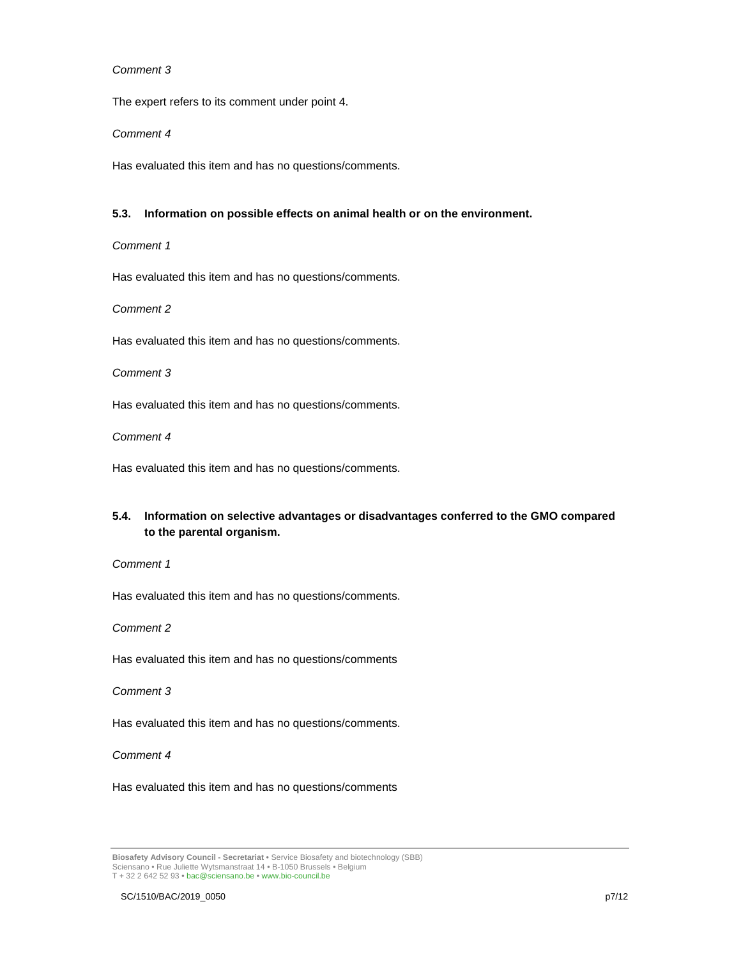The expert refers to its comment under point 4.

#### Comment 4

Has evaluated this item and has no questions/comments.

#### **5.3. Information on possible effects on animal health or on the environment.**

#### Comment 1

Has evaluated this item and has no questions/comments.

Comment 2

Has evaluated this item and has no questions/comments.

Comment 3

Has evaluated this item and has no questions/comments.

Comment 4

Has evaluated this item and has no questions/comments.

## **5.4. Information on selective advantages or disadvantages conferred to the GMO compared to the parental organism.**

#### Comment 1

Has evaluated this item and has no questions/comments.

Comment 2

Has evaluated this item and has no questions/comments

Comment 3

Has evaluated this item and has no questions/comments.

Comment 4

**Biosafety Advisory Council - Secretariat •** Service Biosafety and biotechnology (SBB) Sciensano • Rue Juliette Wytsmanstraat 14 **•** B-1050 Brussels **•** Belgium T + 32 2 642 52 93 **•** bac@sciensano.be **•** www.bio-council.be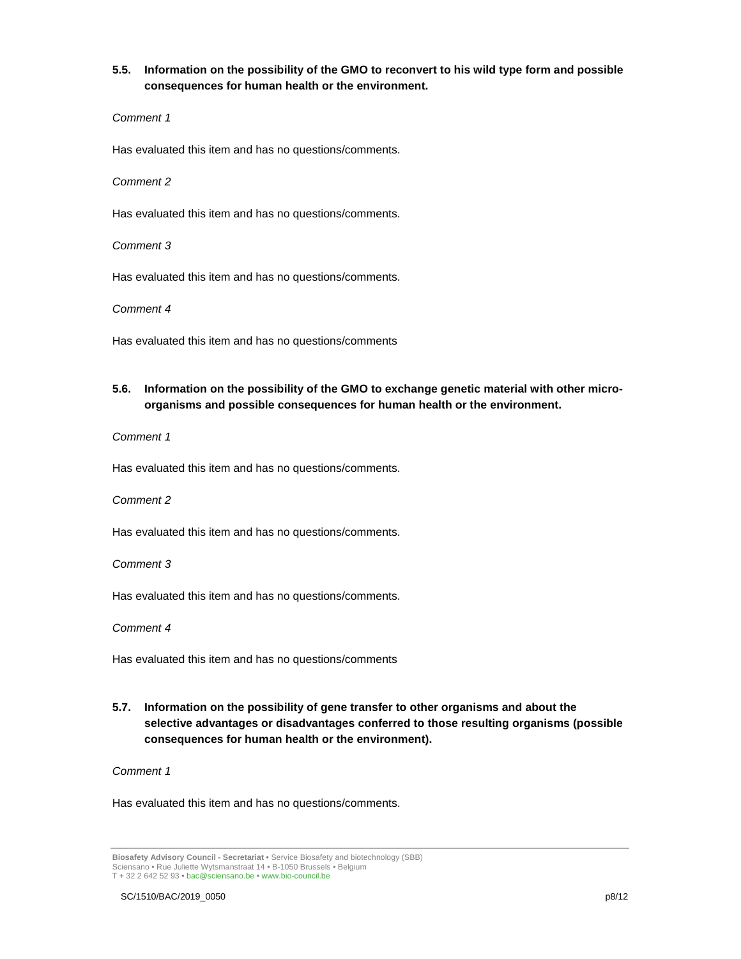## **5.5. Information on the possibility of the GMO to reconvert to his wild type form and possible consequences for human health or the environment.**

#### Comment 1

Has evaluated this item and has no questions/comments.

#### Comment 2

Has evaluated this item and has no questions/comments.

Comment 3

Has evaluated this item and has no questions/comments.

Comment 4

Has evaluated this item and has no questions/comments

## **5.6. Information on the possibility of the GMO to exchange genetic material with other microorganisms and possible consequences for human health or the environment.**

Comment 1

Has evaluated this item and has no questions/comments.

## Comment 2

Has evaluated this item and has no questions/comments.

#### Comment 3

Has evaluated this item and has no questions/comments.

Comment 4

Has evaluated this item and has no questions/comments

## **5.7. Information on the possibility of gene transfer to other organisms and about the selective advantages or disadvantages conferred to those resulting organisms (possible consequences for human health or the environment).**

Comment 1

**Biosafety Advisory Council - Secretariat •** Service Biosafety and biotechnology (SBB) Sciensano • Rue Juliette Wytsmanstraat 14 **•** B-1050 Brussels **•** Belgium T + 32 2 642 52 93 **•** bac@sciensano.be **•** www.bio-council.be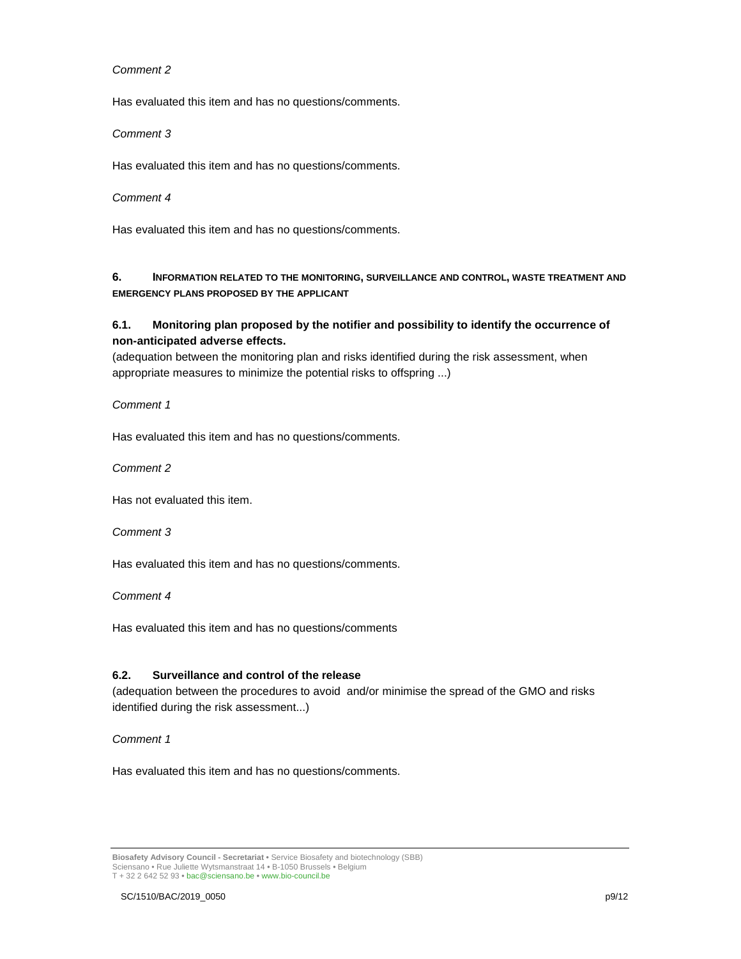Has evaluated this item and has no questions/comments.

#### Comment 3

Has evaluated this item and has no questions/comments.

#### Comment 4

Has evaluated this item and has no questions/comments.

**6. INFORMATION RELATED TO THE MONITORING, SURVEILLANCE AND CONTROL, WASTE TREATMENT AND EMERGENCY PLANS PROPOSED BY THE APPLICANT**

## **6.1. Monitoring plan proposed by the notifier and possibility to identify the occurrence of non-anticipated adverse effects.**

(adequation between the monitoring plan and risks identified during the risk assessment, when appropriate measures to minimize the potential risks to offspring ...)

Comment 1

Has evaluated this item and has no questions/comments.

Comment 2

Has not evaluated this item.

Comment 3

Has evaluated this item and has no questions/comments.

Comment 4

Has evaluated this item and has no questions/comments

## **6.2. Surveillance and control of the release**

(adequation between the procedures to avoid and/or minimise the spread of the GMO and risks identified during the risk assessment...)

Comment 1

**Biosafety Advisory Council - Secretariat •** Service Biosafety and biotechnology (SBB) Sciensano • Rue Juliette Wytsmanstraat 14 **•** B-1050 Brussels **•** Belgium T + 32 2 642 52 93 **•** bac@sciensano.be **•** www.bio-council.be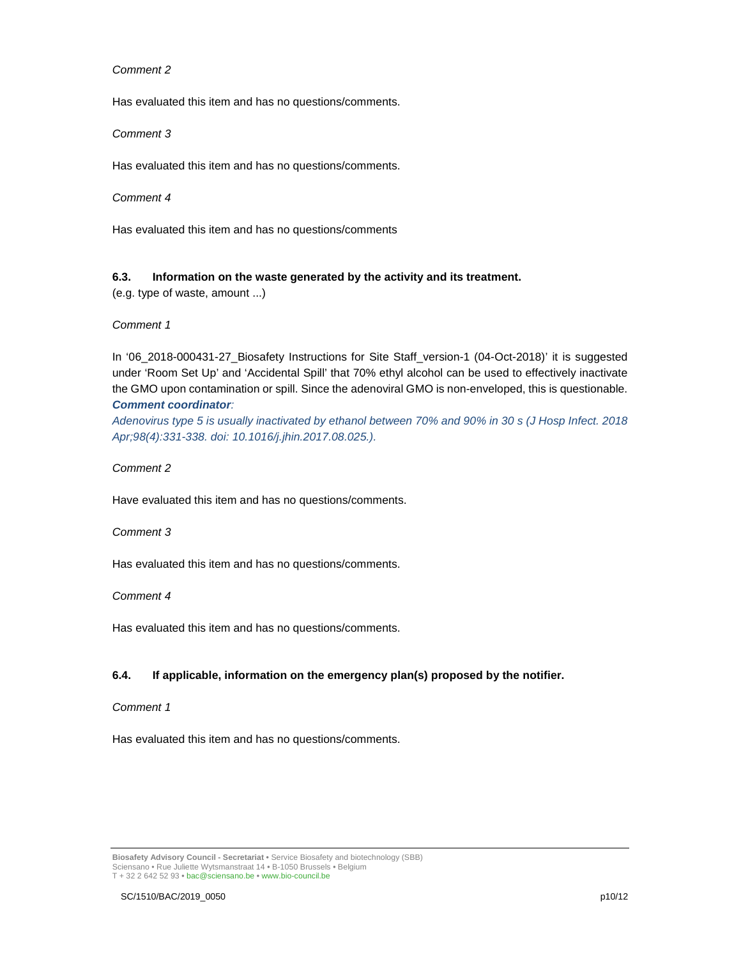Has evaluated this item and has no questions/comments.

#### Comment 3

Has evaluated this item and has no questions/comments.

#### Comment 4

Has evaluated this item and has no questions/comments

## **6.3. Information on the waste generated by the activity and its treatment.**

(e.g. type of waste, amount ...)

#### Comment 1

In '06\_2018-000431-27\_Biosafety Instructions for Site Staff\_version-1 (04-Oct-2018)' it is suggested under 'Room Set Up' and 'Accidental Spill' that 70% ethyl alcohol can be used to effectively inactivate the GMO upon contamination or spill. Since the adenoviral GMO is non-enveloped, this is questionable. **Comment coordinator**:

Adenovirus type 5 is usually inactivated by ethanol between 70% and 90% in 30 s (J Hosp Infect. 2018 Apr;98(4):331-338. doi: 10.1016/j.jhin.2017.08.025.).

## Comment 2

Have evaluated this item and has no questions/comments.

#### Comment 3

Has evaluated this item and has no questions/comments.

#### Comment 4

Has evaluated this item and has no questions/comments.

## **6.4. If applicable, information on the emergency plan(s) proposed by the notifier.**

#### Comment 1

Has evaluated this item and has no questions/comments.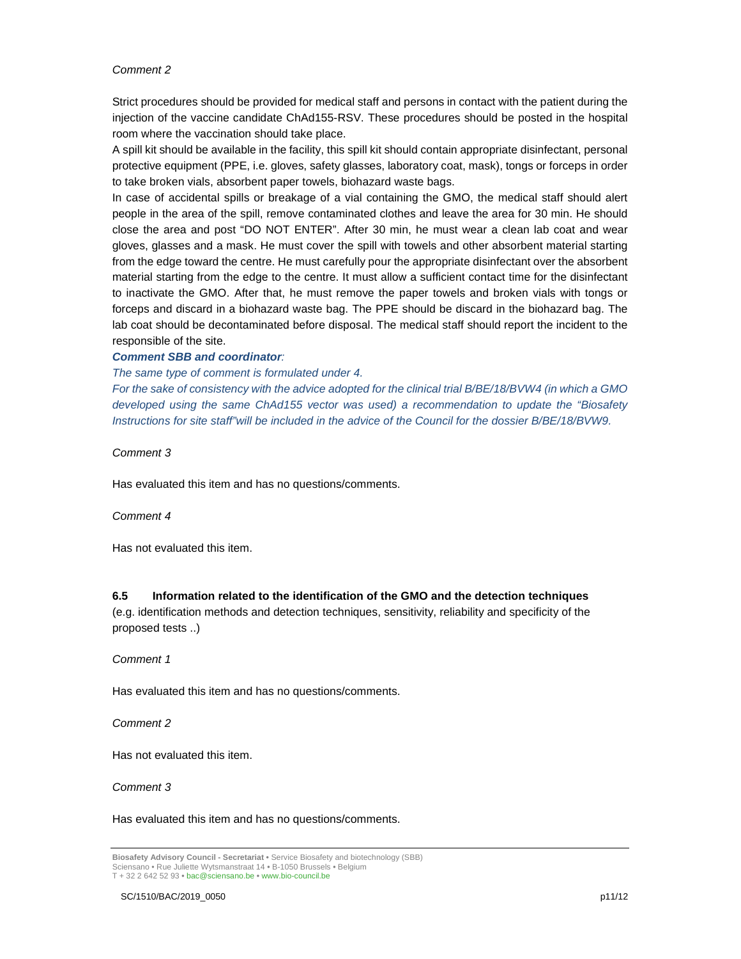Strict procedures should be provided for medical staff and persons in contact with the patient during the injection of the vaccine candidate ChAd155-RSV. These procedures should be posted in the hospital room where the vaccination should take place.

A spill kit should be available in the facility, this spill kit should contain appropriate disinfectant, personal protective equipment (PPE, i.e. gloves, safety glasses, laboratory coat, mask), tongs or forceps in order to take broken vials, absorbent paper towels, biohazard waste bags.

In case of accidental spills or breakage of a vial containing the GMO, the medical staff should alert people in the area of the spill, remove contaminated clothes and leave the area for 30 min. He should close the area and post "DO NOT ENTER". After 30 min, he must wear a clean lab coat and wear gloves, glasses and a mask. He must cover the spill with towels and other absorbent material starting from the edge toward the centre. He must carefully pour the appropriate disinfectant over the absorbent material starting from the edge to the centre. It must allow a sufficient contact time for the disinfectant to inactivate the GMO. After that, he must remove the paper towels and broken vials with tongs or forceps and discard in a biohazard waste bag. The PPE should be discard in the biohazard bag. The lab coat should be decontaminated before disposal. The medical staff should report the incident to the responsible of the site.

#### **Comment SBB and coordinator**:

The same type of comment is formulated under 4.

For the sake of consistency with the advice adopted for the clinical trial B/BE/18/BVW4 (in which a GMO developed using the same ChAd155 vector was used) a recommendation to update the "Biosafety Instructions for site staff"will be included in the advice of the Council for the dossier B/BE/18/BVW9.

Comment 3

Has evaluated this item and has no questions/comments.

Comment 4

Has not evaluated this item.

## **6.5 Information related to the identification of the GMO and the detection techniques**

(e.g. identification methods and detection techniques, sensitivity, reliability and specificity of the proposed tests ..)

Comment 1

Has evaluated this item and has no questions/comments.

Comment 2

Has not evaluated this item.

Comment 3

**Biosafety Advisory Council - Secretariat •** Service Biosafety and biotechnology (SBB) Sciensano • Rue Juliette Wytsmanstraat 14 **•** B-1050 Brussels **•** Belgium T + 32 2 642 52 93 **•** bac@sciensano.be **•** www.bio-council.be